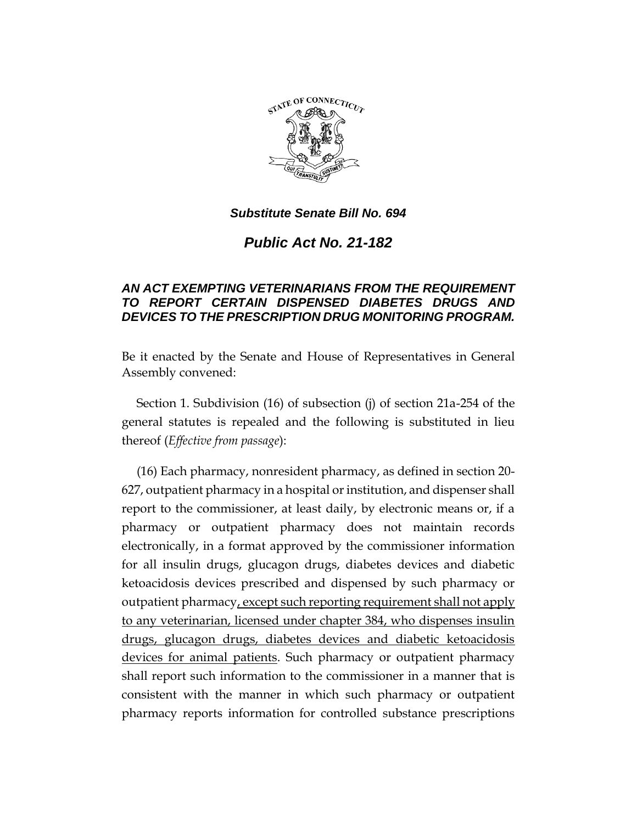

*Substitute Senate Bill No. 694*

*Public Act No. 21-182*

## *AN ACT EXEMPTING VETERINARIANS FROM THE REQUIREMENT TO REPORT CERTAIN DISPENSED DIABETES DRUGS AND DEVICES TO THE PRESCRIPTION DRUG MONITORING PROGRAM.*

Be it enacted by the Senate and House of Representatives in General Assembly convened:

Section 1. Subdivision (16) of subsection (j) of section 21a-254 of the general statutes is repealed and the following is substituted in lieu thereof (*Effective from passage*):

(16) Each pharmacy, nonresident pharmacy, as defined in section 20- 627, outpatient pharmacy in a hospital or institution, and dispenser shall report to the commissioner, at least daily, by electronic means or, if a pharmacy or outpatient pharmacy does not maintain records electronically, in a format approved by the commissioner information for all insulin drugs, glucagon drugs, diabetes devices and diabetic ketoacidosis devices prescribed and dispensed by such pharmacy or outpatient pharmacy, except such reporting requirement shall not apply to any veterinarian, licensed under chapter 384, who dispenses insulin drugs, glucagon drugs, diabetes devices and diabetic ketoacidosis devices for animal patients. Such pharmacy or outpatient pharmacy shall report such information to the commissioner in a manner that is consistent with the manner in which such pharmacy or outpatient pharmacy reports information for controlled substance prescriptions